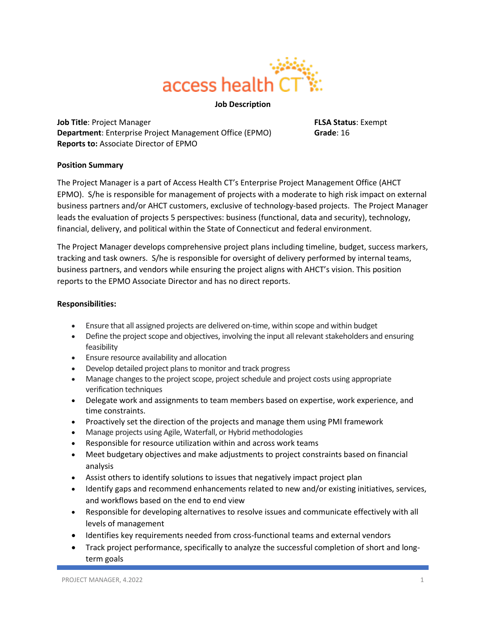

### **Job Description**

**Job Title**: Project Manager **FLSA Status**: Exempt **Department**: Enterprise Project Management Office (EPMO) **Grade**: 16 **Reports to:** Associate Director of EPMO

## **Position Summary**

The Project Manager is a part of Access Health CT's Enterprise Project Management Office (AHCT EPMO). S/he is responsible for management of projects with a moderate to high risk impact on external business partners and/or AHCT customers, exclusive of technology-based projects. The Project Manager leads the evaluation of projects 5 perspectives: business (functional, data and security), technology, financial, delivery, and political within the State of Connecticut and federal environment.

The Project Manager develops comprehensive project plans including timeline, budget, success markers, tracking and task owners. S/he is responsible for oversight of delivery performed by internal teams, business partners, and vendors while ensuring the project aligns with AHCT's vision. This position reports to the EPMO Associate Director and has no direct reports.

#### **Responsibilities:**

- Ensure that all assigned projects are delivered on-time, within scope and within budget
- Define the project scope and objectives, involving the input all relevant stakeholders and ensuring feasibility
- Ensure resource availability and allocation
- Develop detailed project plans to monitor and track progress
- Manage changes to the project scope, project schedule and project costs using appropriate verification techniques
- Delegate work and assignments to team members based on expertise, work experience, and time constraints.
- Proactively set the direction of the projects and manage them using PMI framework
- Manage projects using Agile, Waterfall, or Hybrid methodologies
- Responsible for resource utilization within and across work teams
- Meet budgetary objectives and make adjustments to project constraints based on financial analysis
- Assist others to identify solutions to issues that negatively impact project plan
- Identify gaps and recommend enhancements related to new and/or existing initiatives, services, and workflows based on the end to end view
- Responsible for developing alternatives to resolve issues and communicate effectively with all levels of management
- Identifies key requirements needed from cross-functional teams and external vendors
- Track project performance, specifically to analyze the successful completion of short and longterm goals